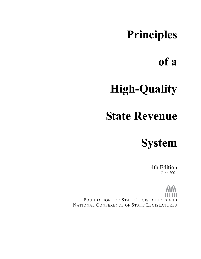# **Principles**

# **of a**

# **High-Quality**

# **State Revenue**

**System** 

4th Edition June 2001

FOUNDATION FOR STATE LEGISLATURES AND NATIONAL CONFERENCE OF STATE LEGISLATURES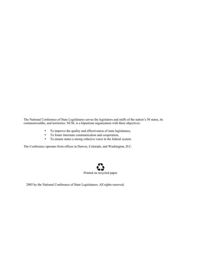The National Conference of State Legislatures serves the legislators and staffs of the nation's 50 states, its commonwealths, and territories. NCSL is a bipartisan organization with three objectives:

- To improve the quality and effectiveness of state legislatures,
- To foster interstate communication and cooperation,
- To ensure states a strong cohesive voice in the federal system.

The Conference operates from offices in Denver, Colorado, and Washington, D.C.



2005 by the National Conference of State Legislatures. All rights reserved.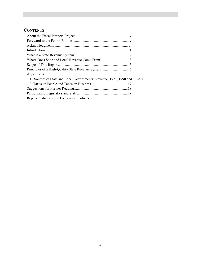# **CONTENTS**

| Appendices                                                                 |
|----------------------------------------------------------------------------|
| 1. Sources of State and Local Governments' Revenue, 1971, 1990 and 1998 16 |
|                                                                            |
|                                                                            |
|                                                                            |
|                                                                            |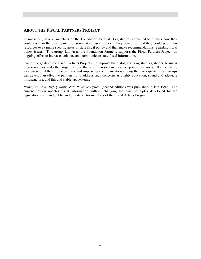## **ABOUT THE FISCAL PARTNERS PROJECT**

In mid-1991, several members of the Foundation for State Legislatures convened to discuss how they could assist in the development of sound state fiscal policy. They concurred that they could pool their resources to examine specific areas of state fiscal policy and then make recommendations regarding fiscal policy issues. This group, known as the Foundation Partners, supports the Fiscal Partners Project, an ongoing effort to increase, enhance and communicate state fiscal information.

One of the goals of the Fiscal Partners Project is to improve the dialogue among state legislators, business representatives and other organizations that are interested in state tax policy decisions. By increasing awareness of different perspectives and improving communication among the participants, these groups can develop an effective partnership to address such concerns as quality education, sound and adequate infrastructure, and fair and stable tax systems.

*Principles of a High-Quality State Revenue System* (second edition) was published in late 1992. The current edition updates fiscal information without changing the nine principles developed by the legislators, staff, and public and private sector members of the Fiscal Affairs Program.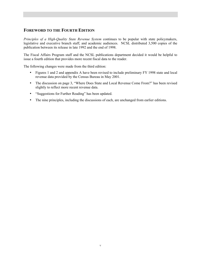# **FOREWORD TO THE FOURTH EDITION**

*Principles of a High-Quality State Revenue System continues to be popular with state policymakers,* legislative and executive branch staff, and academic audiences. NCSL distributed 3,500 copies of the publication between its release in late 1992 and the end of 1998.

The Fiscal Affairs Program staff and the NCSL publications department decided it would be helpful to issue a fourth edition that provides more recent fiscal data to the reader.

The following changes were made from the third edition:

- Figures 1 and 2 and appendix A have been revised to include preliminary FY 1998 state and local revenue data provided by the Census Bureau in May 2001.
- The discussion on page 3, "Where Does State and Local Revenue Come From?" has been revised slightly to reflect more recent revenue data.
- "Suggestions for Further Reading" has been updated.
- The nine principles, including the discussions of each, are unchanged from earlier editions.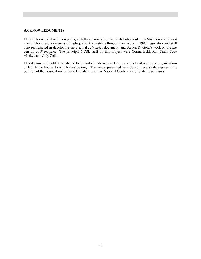#### **ACKNOWLEDGMENTS**

Those who worked on this report gratefully acknowledge the contributions of John Shannon and Robert Klein, who raised awareness of high-quality tax systems through their work in 1985; legislators and staff who participated in developing the original *Principles* document; and Steven D. Gold's work on the last version of *Principles.* The principal NCSL staff on this project were Corina Eckl, Ron Snell, Scott Mackey and Judy Zelio.

This document should be attributed to the individuals involved in this project and not to the organizations or legislative bodies to which they belong. The views presented here do not necessarily represent the position of the Foundation for State Legislatures or the National Conference of State Legislatures.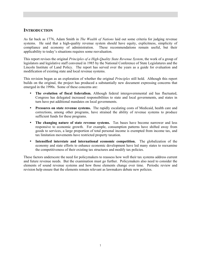#### **INTRODUCTION**

As far back as 1776, Adam Smith in *The Wealth of Nations* laid out some criteria for judging revenue systems. He said that a high-quality revenue system should have equity, explicitness, simplicity of compliance and economy of administration. These recommendations remain useful, but their These recommendations remain useful, but their applicability to today's situations requires some reevaluation.

This report revises the original *Principles of a High-Quality State Revenue System*, the work of a group of legislators and legislative staff convened in 1985 by the National Conference of State Legislatures and the Lincoln Institute of Land Policy. The report has served over the years as a guide for evaluation and modification of existing state and local revenue systems.

This revision began as an exploration of whether the original *Principles* still hold. Although this report builds on the original, the project has produced a substantially new document expressing concerns that emerged in the 1990s. Some of these concerns are:

- **The evolution of fiscal federalism.** Although federal intergovernmental aid has fluctuated, Congress has delegated increased responsibilities to state and local governments, and states in turn have put additional mandates on local governments.
- **Pressures on state revenue systems.** The rapidly escalating costs of Medicaid, health care and corrections, among other programs, have strained the ability of revenue systems to produce sufficient funds for these programs.
- The changing nature of state revenue systems. Tax bases have become narrower and less responsive to economic growth. For example, consumption patterns have shifted away from goods to services, a large proportion of total personal income is exempted from income tax, and tax limitation movements have restricted property taxation.
- **Intensified interstate and international economic competition.** The globalization of the economy and state efforts to enhance economic development have led many states to reexamine the competitiveness of their existing tax structures and modify tax policies.

These factors underscore the need for policymakers to reassess how well their tax systems address current and future revenue needs. But the examination must go further. Policymakers also need to consider the elements of sound revenue systems and how those elements change over time. Periodic review and revision help ensure that the elements remain relevant as lawmakers debate new policies.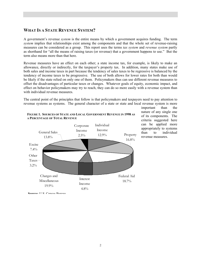# **WHAT IS A STATE REVENUE SYSTEM?**

A government's revenue *system* is the entire means by which a government acquires funding. The term *system* implies that relationships exist among the components and that the whole set of revenue-raising measures can be considered as a group. This report uses the terms *tax system* and *revenue system* partly as shorthand for "all the means of raising taxes (or revenue) that a government happens to use." But the term also means more than that here.

Revenue measures have an effect on each other; a state income tax, for example, is likely to make an allowance, directly or indirectly, for the taxpayer's property tax. In addition, many states make use of both sales and income taxes in part because the tendency of sales taxes to be regressive is balanced by the tendency of income taxes to be progressive. The use of both allows for lower rates for both than would be likely if the state relied on only one of them. Policymakers thus can use different revenue measures to offset the disadvantages of particular taxes or changes. Whatever goals of equity, economic impact, and effect on behavior policymakers may try to reach, they can do so more easily with a revenue system than with individual revenue measures.

The central point of the principles that follow is that policymakers and taxpayers need to pay attention to revenue systems as systems. The general character of a state or state and local revenue system is more



#### **FIGURE 1. SOURCES OF STATE AND LOCAL GOVERNMENT REVENUE IN 1998 AS A PERCENTAGE OF TOTAL REVENUE**

important than the nature of any single one of its components. The criteria suggested here can be applied more appropriately to systems than to individual revenue measures.

**Source**: U S Census Bureau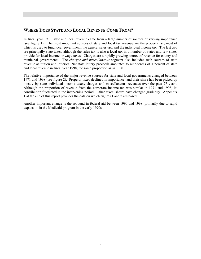## **WHERE DOES STATE AND LOCAL REVENUE COME FROM?**

In fiscal year 1998, state and local revenue came from a large number of sources of varying importance (see figure 1). The most important sources of state and local tax revenue are the property tax, most of which is used to fund local government; the general sales tax; and the individual income tax. The last two are principally state taxes, although the sales tax is also a local tax in a number of states and few states provide for local income or wage taxes. Charges are a rapidly growing source of revenue for county and municipal governments. The *charges and miscellaneous* segment also includes such sources of state revenue as tuition and lotteries. Net state lottery proceeds amounted to nine-tenths of 1 percent of state and local revenue in fiscal year 1998, the same proportion as in 1990.

The relative importance of the major revenue sources for state and local governments changed between 1971 and 1998 (see figure 2). Property taxes declined in importance, and their share has been picked up mostly by state individual income taxes, charges and miscellaneous revenues over the past 27 years. Although the proportion of revenue from the corporate income tax was similar in 1971 and 1998, its contribution fluctuated in the intervening period. Other taxes' shares have changed gradually. Appendix 1 at the end of this report provides the data on which figures 1 and 2 are based.

Another important change is the rebound in federal aid between 1990 and 1998, primarily due to rapid expansion in the Medicaid program in the early 1990s.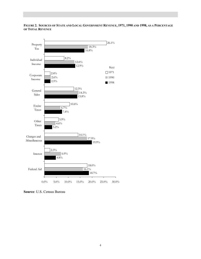#### **FIGURE 2. SOURCES OF STATE AND LOCAL GOVERNMENT REVENUE, 1971, 1990 AND 1998, AS A PERCENTAGE OF TOTAL REVENUE**



**Source**: U.S. Census Bureau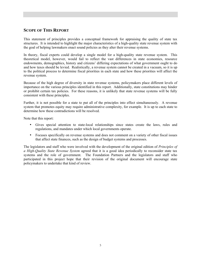## **SCOPE OF THIS REPORT**

This statement of principles provides a conceptual framework for appraising the quality of state tax structures. It is intended to highlight the major characteristics of a high-quality state revenue system with the goal of helping lawmakers enact sound policies as they alter their revenue systems.

In theory, fiscal experts could develop a single model for a high-quality state revenue system. This theoretical model, however, would fail to reflect the vast differences in state economies, resource endowments, demographics, history and citizens' differing expectations of what government ought to do and how taxes should be levied. Realistically, a revenue system cannot be created in a vacuum, so it is up to the political process to determine fiscal priorities in each state and how these priorities will affect the revenue system.

Because of the high degree of diversity in state revenue systems, policymakers place different levels of importance on the various principles identified in this report. Additionally, state constitutions may hinder or prohibit certain tax policies. For these reasons, it is unlikely that state revenue systems will be fully consistent with these principles.

Further, it is not possible for a state to put all of the principles into effect simultaneously. A revenue system that promotes equity may require administrative complexity, for example. It is up to each state to determine how these contradictions will be resolved.

Note that this report:

- Gives special attention to state-local relationships since states create the laws, rules and regulations, and mandates under which local governments operate.
- Focuses specifically on revenue systems and does not comment on a variety of other fiscal issues that affect state finances, such as the design of budget systems and processes.

The legislators and staff who were involved with the development of the original edition of *Principles of a High-Quality State Revenue System* agreed that it is a good idea periodically to reconsider state tax systems and the role of government. The Foundation Partners and the legislators and staff who participated in this project hope that their revision of the original document will encourage state policymakers to undertake that kind of review.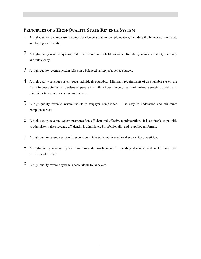# **PRINCIPLES OF A HIGH-QUALITY STATE REVENUE SYSTEM**

- 1 A high-quality revenue system comprises elements that are complementary, including the finances of both state and local governments.
- 2 A high-quality revenue system produces revenue in a reliable manner. Reliability involves stability, certainty and sufficiency.
- $3$  A high-quality revenue system relies on a balanced variety of revenue sources.
- 4 A high-quality revenue system treats individuals equitably. Minimum requirements of an equitable system are that it imposes similar tax burdens on people in similar circumstances, that it minimizes regressivity, and that it minimizes taxes on low-income individuals.
- 5 A high-quality revenue system facilitates taxpayer compliance. It is easy to understand and minimizes compliance costs.
- 6 A high-quality revenue system promotes fair, efficient and effective administration. It is as simple as possible to administer, raises revenue efficiently, is administered professionally, and is applied uniformly.
- 7 A high-quality revenue system is responsive to interstate and international economic competition.
- 8 A high-quality revenue system minimizes its involvement in spending decisions and makes any such involvement explicit.
- 9 A high-quality revenue system is accountable to taxpayers.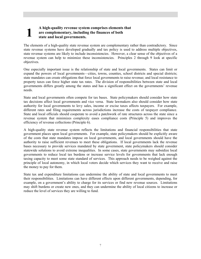## **1 A** high-quality revenue system comprises elements that are complementary, including the finances of both state and local governments. **are complementary, including the finances of both state and local governments.**

The elements of a high-quality state revenue system are complementary rather than contradictory. Since state revenue systems have developed gradually and tax policy is used to address multiple objectives, state revenue systems are likely to include inconsistencies. However, a clear sense of the objectives of a revenue system can help to minimize these inconsistencies. Principles 2 through 9 look at specific objectives.

One especially important issue is the relationship of state and local governments. States can limit or expand the powers of local governments—cities, towns, counties, school districts and special districts; state mandates can create obligations that force local governments to raise revenue; and local resistance to property taxes can force higher state tax rates. The division of responsibilities between state and local governments differs greatly among the states and has a significant effect on the governments' revenue needs.

State and local governments often compete for tax bases. State policymakers should consider how state tax decisions affect local governments and vice versa. State lawmakers also should consider how state authority for local governments to levy sales, income or excise taxes affects taxpayers. For example, different rates and filing requirements across jurisdictions increase the costs of taxpayer compliance. State and local officials should cooperate to avoid a patchwork of rate structures across the state since a revenue system that minimizes complexity eases compliance costs (Principle 5) and improves the efficiency of revenue collections (Principle 6).

A high-quality state revenue system reflects the limitations and financial responsibilities that state government places upon local governments. For example, state policymakers should be explicitly aware of the costs that state mandates impose on local governments, and local governments should have the authority to raise sufficient revenues to meet these obligations. If local governments lack the revenue bases necessary to provide services mandated by state government, state policymakers should consider statewide solutions to avoid extreme inequalities. In some cases, state governments may subsidize local governments to reduce local tax burdens or increase service levels for governments that lack enough taxing capacity to meet some state standard of services. This approach needs to be weighed against the principle of local autonomy, in which local voters decide which services they want to receive and raise the money to pay for them.

State tax and expenditure limitations can undermine the ability of state and local governments to meet their responsibilities. Limitations can have different effects upon different governments, depending, for example, on a government's ability to charge for its services or find new revenue sources. Limitations may shift burdens or create new ones, and they can undermine the ability of local citizens to increase or reduce the level of services they are willing to fund.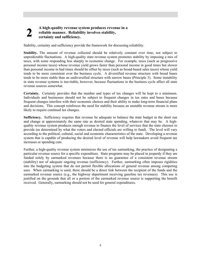# **2 A high-quality revenue system produces revenue in a reliable manner. Reliability involves stability, certainty and sufficiency.**

Stability, certainty and sufficiency provide the framework for discussing reliability.

**Stability.** The amount of revenue collected should be relatively constant over time, not subject to unpredictable fluctuations. A high-quality state revenue system promotes stability by imposing a mix of taxes, with some responding less sharply to economic change. For example, taxes (such as progressive personal income taxes) whose revenue yield grows faster than personal income in good times but slower than personal income in bad times should be offset by taxes (such as broad-based sales taxes) whose yield tends to be more consistent over the business cycle. A diversified revenue structure with broad bases tends to be more stable than an undiversified structure with narrow bases (Principle 3). Some instability in state revenue systems is inevitable, however, because fluctuations in the business cycle affect all state revenue sources somewhat.

**Certainty.** Certainty provides that the number and types of tax changes will be kept to a minimum. Individuals and businesses should not be subject to frequent changes in tax rates and bases because frequent changes interfere with their economic choices and their ability to make long-term financial plans and decisions. This concept reinforces the need for stability because an unstable revenue stream is more likely to require continual tax changes.

Sufficiency. Sufficiency requires that revenue be adequate to balance the state budget in the short run and change at approximately the same rate as desired state spending, whatever that may be. A highquality revenue system produces enough revenue to finance the level of services that the state chooses to provide (as determined by what the voters and elected officials are willing to fund). The level will vary according to the political, cultural, social and economic characteristics of the state. Developing a revenue system that is capable of producing the desired level of revenue will help lawmakers avoid frequent tax increases or spending cuts.

Further, a high-quality revenue system minimizes the use of tax earmarking, the practice of designating a particular revenue source for a specific expenditure. State programs may be placed in jeopardy if they are funded solely by earmarked revenues because there is no guarantee of a consistent revenue stream (stability) nor of adequate ongoing revenue (sufficiency). Further, earmarking often imposes rigidities into the budgeting system that do not permit flexible allocations of general revenue among competing uses. When earmarking is used, there should be a direct link between the recipient of the funds and the earmarked revenue source (e.g., the highway department receiving gasoline tax revenues). This use is justified on the grounds that all or a portion of the earmarked revenue source is supporting the benefit received. Generally, earmarking should not be used for general expenditures.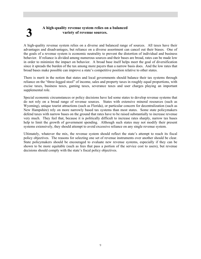# **3 A high-quality revenue system relies on a balanced variety of revenue sources.**

A high-quality revenue system relies on a diverse and balanced range of sources. All taxes have their advantages and disadvantages, but reliance on a diverse assortment can cancel out their biases. One of the goals of a revenue system is economic neutrality to prevent the distortion of individual and business behavior. If reliance is divided among numerous sources and their bases are broad, rates can be made low in order to minimize the impact on behavior. A broad base itself helps meet the goal of diversification since it spreads the burden of the tax among more payers than a narrow basis does. And the low rates that broad bases make possible can improve a state's competitive position relative to other states.

There is merit in the notion that states and local governments should balance their tax systems through reliance on the "three-legged stool" of income, sales and property taxes in roughly equal proportions, with excise taxes, business taxes, gaming taxes, severance taxes and user charges playing an important supplemental role.

Special economic circumstances or policy decisions have led some states to develop revenue systems that do not rely on a broad range of revenue sources. States with extensive mineral resources (such as Wyoming), unique tourist attractions (such as Florida), or particular concern for decentralization (such as New Hampshire) rely on more narrowly based tax systems than most states. Some state policymakers defend taxes with narrow bases on the ground that rates have to be raised substantially to increase revenue very much. They feel that, because it is politically difficult to increase rates sharply, narrow tax bases help to limit the growth of government spending. Although such states may not modify their present systems extensively, they should attempt to avoid excessive reliance on any single revenue system.

Ultimately, whatever the mix, the revenue system should reflect the state's attempt to reach its fiscal policy objectives. The reasons for selecting one set of revenue instruments over another should be clear. State policymakers should be encouraged to evaluate new revenue systems, especially if they can be shown to be more equitable (such as fees that pass a portion of the service cost to users), but revenue decisions should comply with the state's fiscal policy objectives.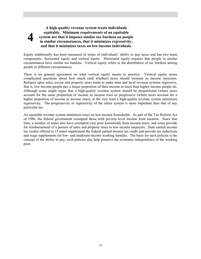#### **A high-quality revenue system treats individuals equitably. Minimum requirements of an equitable system are that it imposes similar tax burdens on people in similar circumstances, that it minimizes regressivity, and that it minimizes taxes on low-income individuals.**

**4**

Equity traditionally has been measured in terms of individuals' ability to pay taxes and has two main components—horizontal equity and vertical equity. Horizontal equity requires that people in similar circumstances have similar tax burdens. Vertical equity refers to the distribution of tax burdens among people in different circumstances.

There is no general agreement on what vertical equity means in practice. Vertical equity raises complicated questions about how much (and whether) taxes should increase as income increases. Reliance upon sales, excise and property taxes tends to make state and local revenue systems regressive, that is, low-income people pay a larger proportion of their income in taxes than higher income people do. Although some might argue that a high-quality revenue system should be proportional (where taxes account for the same proportion of income as income rises or progressive (where taxes account for a higher proportion of income as income rises), at the very least a high-quality revenue system minimizes regressivity. The progressivity or regressivity of the entire system is more important than that of any particular tax.

An equitable revenue system minimizes taxes on low-income households. As part of the Tax Reform Act of 1986, the federal government exempted those with poverty-level income from taxation. Since that time, a number of states also have exempted very poor households from income taxes, and some provide for reimbursement of a portion of sales and property taxes to low-income taxpayers. State earned income tax credits offered in 15 states supplement the federal earned income tax credit and provide tax reductions and wage supplements for low- and moderate-income working families. The basis for such policies is the concept of the ability to pay; such policies also help preserve the economic independence of the working poor.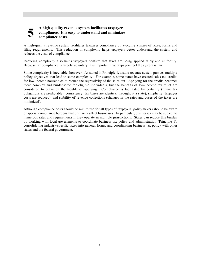## **5 A** high-quality revenue system facilitates taxpayer compliance. It is easy to understand and minimize compliance costs. **compliance. It is easy to understand and minimizes compliance costs.**

A high-quality revenue system facilitates taxpayer compliance by avoiding a maze of taxes, forms and filing requirements. This reduction in complexity helps taxpayers better understand the system and reduces the costs of compliance.

Reducing complexity also helps taxpayers confirm that taxes are being applied fairly and uniformly. Because tax compliance is largely voluntary, it is important that taxpayers feel the system is fair.

Some complexity is inevitable, however. As stated in Principle 1, a state revenue system pursues multiple policy objectives that lead to some complexity. For example, some states have created sales tax credits for low-income households to reduce the regressivity of the sales tax. Applying for the credits becomes more complex and burdensome for eligible individuals, but the benefits of low-income tax relief are considered to outweigh the trouble of applying. Compliance is facilitated by certainty (future tax obligations are predictable), consistency (tax bases are identical throughout a state), simplicity (taxpayer costs are reduced), and stability of revenue collections (changes in the rates and bases of the taxes are minimized).

Although compliance costs should be minimized for all types of taxpayers, policymakers should be aware of special compliance burdens that primarily affect businesses. In particular, businesses may be subject to numerous rates and requirements if they operate in multiple jurisdictions. States can reduce this burden by working with local governments to coordinate business tax policy and administration (Principle 1), consolidating industry-specific taxes into general forms, and coordinating business tax policy with other states and the federal government.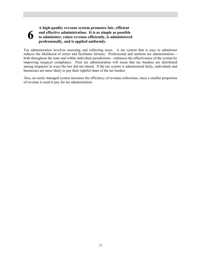#### **6 A high-quality revenue system promotes fair, efficient and effective administration. It is as simple as possible to administer, raises revenue efficiently, is administered professionally, and is applied uniformly.**

Tax administration involves assessing and collecting taxes. A tax system that is easy to administer reduces the likelihood of errors and facilitates fairness. Professional and uniform tax administration both throughout the state and within individual jurisdictions—enhances the effectiveness of the system by improving taxpayer compliance. Poor tax administration will mean that tax burdens are distributed among taxpayers in ways the law did not intend. If the tax system is administered fairly, individuals and businesses are more likely to pay their rightful share of the tax burden.

Also, an easily managed system increases the efficiency of revenue collections, since a smaller proportion of revenue is used to pay for tax administration.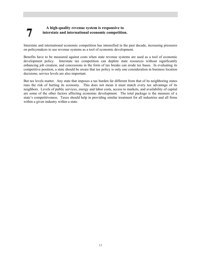# **7 A high-quality revenue system is responsive to interstate and international economic competition.**

Interstate and international economic competition has intensified in the past decade, increasing pressures on policymakers to use revenue systems as a tool of economic development.

Benefits have to be measured against costs when state revenue systems are used as a tool of economic development policy. Interstate tax competition can deplete state resources without significantly enhancing job creation, and concessions in the form of tax breaks can erode tax bases. In evaluating its competitive position, a state should be aware that tax policy is only one consideration in business location decisions; service levels are also important.

But tax levels matter. Any state that imposes a tax burden far different from that of its neighboring states runs the risk of hurting its economy. This does not mean it must match every tax advantage of its neighbors. Levels of public services, energy and labor costs, access to markets, and availability of capital are some of the other factors affecting economic development. The total package is the measure of a state's competitiveness. Taxes should help in providing similar treatment for all industries and all firms within a given industry within a state.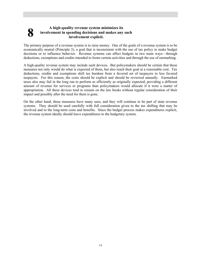#### **8 A** high-quality revenue system minimizes its involvement in spending decisions and makes any involvement explicit. **involvement in spending decisions and makes any such involvement explicit.**

The primary purpose of a revenue system is to raise money. One of the goals of a revenue system is to be economically neutral (Principle 3), a goal that is inconsistent with the use of tax policy to make budget decisions or to influence behavior. Revenue systems can affect budgets in two main ways—through deductions, exemptions and credits intended to foster certain activities and through the use of earmarking.

A high-quality revenue system may include such devices. But policymakers should be certain that these measures not only would do what is expected of them, but also reach their goal at a reasonable cost. Tax deductions, credits and exemptions shift tax burdens from a favored set of taxpayers to less favored taxpayers. For this reason, the costs should be explicit and should be reviewed annually. Earmarked taxes also may fail in the long run to perform as efficiently as originally expected, providing a different amount of revenue for services or programs than policymakers would allocate if it were a matter of appropriation. All these devices tend to remain on the law books without regular consideration of their impact and possibly after the need for them is gone.

On the other hand, these measures have many uses, and they will continue to be part of state revenue systems. They should be used carefully with full consideration given to the tax shifting that may be involved and to the long-term costs and benefits. Since the budget process makes expenditures explicit, the revenue system ideally should leave expenditures to the budgetary system.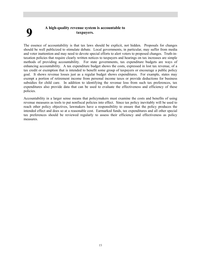# **9 A high-quality revenue system is accountable to taxpayers.**

The essence of accountability is that tax laws should be explicit, not hidden. Proposals for changes should be well publicized to stimulate debate. Local governments, in particular, may suffer from media and voter inattention and may need to devote special efforts to alert voters to proposed changes. Truth-intaxation policies that require clearly written notices to taxpayers and hearings on tax increases are simple methods of providing accountability. For state governments, tax expenditure budgets are ways of enhancing accountability. A tax expenditure budget shows the costs, expressed in lost tax revenue, of a tax credit or exemption that is intended to benefit some group of taxpayers or encourage a public policy goal. It shows revenue losses just as a regular budget shows expenditures. For example, states may exempt a portion of retirement income from personal income taxes or provide deductions for business subsidies for child care. In addition to identifying the revenue loss from such tax preferences, tax expenditures also provide data that can be used to evaluate the effectiveness and efficiency of these policies.

Accountability in a larger sense means that policymakers must examine the costs and benefits of using revenue measures as tools to put nonfiscal policies into effect. Since tax policy inevitably will be used to reach other policy objectives, lawmakers have a responsibility to ensure that the policy produces the intended effect and does so at a reasonable cost. Earmarked funds, tax expenditures and all other special tax preferences should be reviewed regularly to assess their efficiency and effectiveness as policy measures.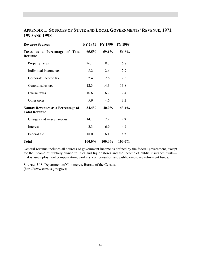# **APPENDIX 1. SOURCES OF STATE AND LOCAL GOVERNMENTS' REVENUE, 1971, 1990 AND 1998**

| <b>Revenue Sources</b>                                            | <b>FY 1971</b> | FY 1990 | <b>FY 1998</b> |
|-------------------------------------------------------------------|----------------|---------|----------------|
| Taxes as a Percentage of Total<br>Revenue                         | $65.5\%$       | 59.1%   | 56.6%          |
| Property taxes                                                    | 26.1           | 18.3    | 16.8           |
| Individual income tax                                             | 8.2            | 12.6    | 12.9           |
| Corporate income tax                                              | 2.4            | 2.6     | 2.5            |
| General sales tax                                                 | 12.3           | 14.3    | 13.8           |
| Excise taxes                                                      | 10.6           | 6.7     | 7.4            |
| Other taxes                                                       | 5.9            | 46      | 3.2            |
| <b>Nontax Revenues as a Percentage of</b><br><b>Total Revenue</b> | 34.4%          | 40.9%   | 43.4%          |
| Charges and miscellaneous                                         | 14.1           | 17.9    | 19.9           |
| Interest                                                          | 2.3            | 6.9     | 4.8            |
| Federal aid                                                       | 18.0           | 16.1    | 18.7           |
| Total                                                             | 100.0%         | 100.0%  | 100.0%         |

General revenue includes all sources of government income as defined by the federal government, except for the income of publicly owned utilities and liquor stores and the income of public insurance trusts that is, unemployment compensation, workers' compensation and public employee retirement funds.

**Source**: U.S. Department of Commerce, Bureau of the Census. (http://www.census.gov/govs)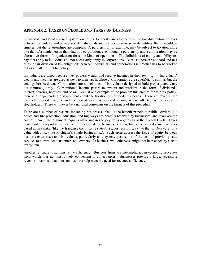# **APPENDIX 2. TAXES ON PEOPLE AND TAXES ON BUSINESS**

In any state and local revenue system, one of the toughest issues to decide is the fair distribution of taxes between individuals and businesses. If individuals and businesses were separate entities, things would be simpler, but the relationships are complex. A partnership, for example, may be subject to taxation more like that of a single person than that of a corporation, even though a partnership and a corporation may be alternative forms of organization for some kinds of operations. The definitions of equity and ability-topay that apply to individuals do not necessarily apply to corporations. Because there are not hard and fast rules, a fair division of tax obligations between individuals and corporations in practice has to be worked out as a matter of public policy.

Individuals are taxed because they possess wealth and receive incomes in their own right. Individuals' wealth and incomes are used as keys to their tax liabilities. Corporations are superficially similar, but the analogy breaks down. Corporations are associations of individuals designed to hold property and carry out ventures jointly. Corporations' income passes to owners and workers in the form of dividends, interest, salaries, bonuses, and so on. As just one example of the problem this creates for fair tax policy, there is a long-standing disagreement about the taxation of corporate dividends. These are taxed in the form of corporate income and then taxed again as personal income when collected as dividends by stockholders. There will never be a national consensus on the fairness of this procedure.

There are a number of reasons for taxing businesses. One is the benefit principle: public services like police and fire protection, education and highways are benefits received by businesses, and taxes are the cost of them. This argument requires all businesses to pay taxes regardless of their profit levels. Taxes levied solely on profits do not meet this rationale of business taxation, but other taxes do, such as taxes based upon capital (like the franchise tax in some states), a gross receipts tax (like that of Delaware) or a value-added tax (like Michigan's single business tax). Such taxes address the issue of equity between business enterprises and individuals, particularly as they may pass some of the cost of providing state services to nonresident customers and owners of a business who otherwise might not be reached by a state tax system.

Another rationale is administrative efficiency. Business firms are intermediaries in economic processes from which it is administratively convenient to collect taxes. Businesses provide a large, accessible revenue stream, so that taxes on business help meet the need for revenue sufficiency.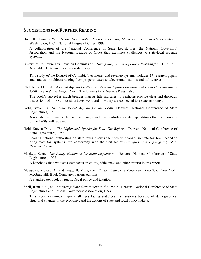#### **SUGGESTIONS FOR FURTHER READING**

Bonnett, Thomas W. *Is the New Global Economy Leaving State-Local Tax Structures Behind?* Washington, D.C.: National League of Cities, 1998.

A collaboration of the National Conference of State Legislatures, the National Governors' Association and the National League of Cities that examines challenges to state-local revenue systems.

District of Columbia Tax Revision Commission. *Taxing Simply, Taxing Fairly.* Washington, D.C.: 1998. Available electronically at www.dctrc.org.

This study of the District of Columbia's economy and revenue systems includes 17 research papers and studies on subjects ranging from property taxes to telecommunications and utility taxes.

Ebel, Robert D., ed. *A Fiscal Agenda for Nevada: Revenue Options for State and Local Governments in 1990.* Reno & Las Vegas, Nev.: The University of Nevada Press, 1990.

The book's subject is much broader than its title indicates. Its articles provide clear and thorough discussions of how various state taxes work and how they are connected to a state economy.

Gold, Steven D. *The State Fiscal Agenda for the 1990s.* Denver: National Conference of State Legislatures, 1990.

A readable summary of the tax law changes and new controls on state expenditures that the economy of the 1900s will require.

Gold, Steven D., ed. *The Unfinished Agenda for State Tax Reform.* Denver: National Conference of State Legislatures, 1988.

Leading national authorities on state taxes discuss the specific changes in state tax law needed to bring state tax systems into conformity with the first set of *Principles of a High-Quality State Revenue System.*

Mackey, Scott. *Tax Policy Handbook for State Legislators*. Denver: National Conference of State Legislatures, 1997.

A handbook that evaluates state taxes on equity, efficiency, and other criteria in this report.

Musgrave, Richard A., and Peggy B. Musgrave. *Public Finance in Theory and Practice.* New York: McGraw-Hill Book Company, various editions.

A standard textbook on public fiscal policy and taxation.

Snell, Ronald K., ed. *Financing State Government in the 1990s*. Denver: National Conference of State Legislatures and National Governors' Association, 1993.

This report examines major challenges facing state/local tax systems because of demographics, structural changes in the economy, and the actions of state and local policymakers.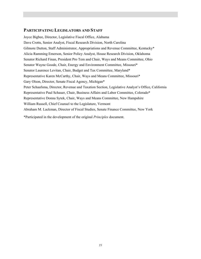#### **PARTICIPATING LEGISLATORS AND STAFF**

Joyce Bigbee, Director, Legislative Fiscal Office, Alabama Dave Crotts, Senior Analyst, Fiscal Research Division, North Carolina Gilmore Dutton, Staff Administrator, Appropriations and Revenue Committee, Kentucky\* Alicia Ramming Emerson, Senior Policy Analyst, House Research Division, Oklahoma Senator Richard Finan, President Pro Tem and Chair, Ways and Means Committee, Ohio Senator Wayne Goode, Chair, Energy and Environment Committee, Missouri\* Senator Laurence Levitan, Chair, Budget and Tax Committee, Maryland\* Representative Karen McCarthy, Chair, Ways and Means Committee, Missouri\* Gary Olson, Director, Senate Fiscal Agency, Michigan\* Peter Schaafsma, Director, Revenue and Taxation Section, Legislative Analyst's Office, California Representative Paul Schauer, Chair, Business Affairs and Labor Committee, Colorado\* Representative Donna Sytek, Chair, Ways and Means Committee, New Hampshire William Russell, Chief Counsel to the Legislature, Vermont Abraham M. Lackman, Director of Fiscal Studies, Senate Finance Committee, New York \*Participated in the development of the original *Principles* document.